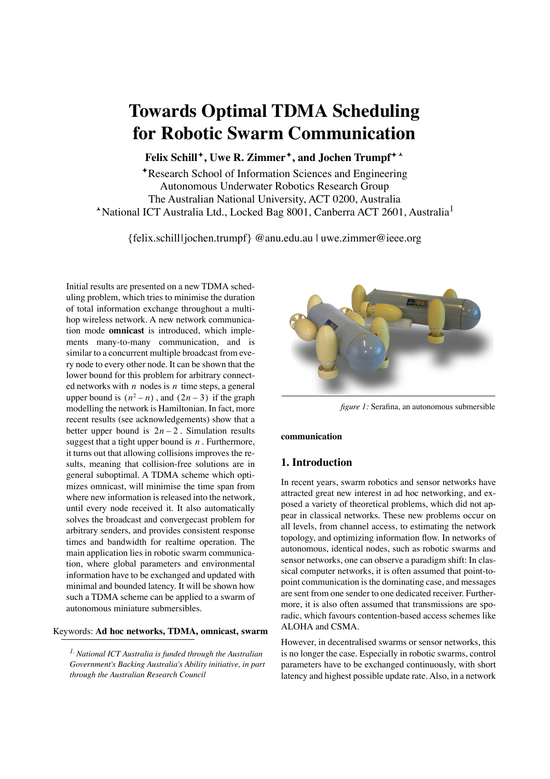# **Towards Optimal TDMA Scheduling for Robotic Swarm Communication**

**Felix Schill, Uwe R. Zimmer, and Jochen Trumpf**-

Research School of Information Sciences and Engineering Autonomous Underwater Robotics Research Group The Australian National University, ACT 0200, Australia -National ICT Australia Ltd., Locked Bag 8001, Canberra ACT 2601, Australia1

{felix.schill|jochen.trumpf} @anu.edu.au | uwe.zimmer@ieee.org

Initial results are presented on a new TDMA scheduling problem, which tries to minimise the duration of total information exchange throughout a multihop wireless network. A new network communication mode **omnicast** is introduced, which implements many-to-many communication, and is similar to a concurrent multiple broadcast from every node to every other node. It can be shown that the lower bound for this problem for arbitrary connected networks with  $n$  nodes is  $n$  time steps, a general upper bound is  $(n^2 - n)$ , and  $(2n - 3)$  if the graph modelling the network is Hamiltonian. In fact, more recent results (see acknowledgements) show that a better upper bound is  $2n - 2$ . Simulation results suggest that a tight upper bound is  $n$ . Furthermore, it turns out that allowing collisions improves the results, meaning that collision-free solutions are in general suboptimal. A TDMA scheme which optimizes omnicast, will minimise the time span from where new information is released into the network, until every node received it. It also automatically solves the broadcast and convergecast problem for arbitrary senders, and provides consistent response times and bandwidth for realtime operation. The main application lies in robotic swarm communication, where global parameters and environmental information have to be exchanged and updated with minimal and bounded latency. It will be shown how such a TDMA scheme can be applied to a swarm of autonomous miniature submersibles.

# Keywords: **Ad hoc networks, TDMA, omnicast, swarm**

*1. National ICT Australia is funded through the Australian Government's Backing Australia's Ability initiative, in part through the Australian Research Council*



*figure 1:* Serafina, an autonomous submersible

**communication**

# **1. Introduction**

In recent years, swarm robotics and sensor networks have attracted great new interest in ad hoc networking, and exposed a variety of theoretical problems, which did not appear in classical networks. These new problems occur on all levels, from channel access, to estimating the network topology, and optimizing information flow. In networks of autonomous, identical nodes, such as robotic swarms and sensor networks, one can observe a paradigm shift: In classical computer networks, it is often assumed that point-topoint communication is the dominating case, and messages are sent from one sender to one dedicated receiver. Furthermore, it is also often assumed that transmissions are sporadic, which favours contention-based access schemes like ALOHA and CSMA.

However, in decentralised swarms or sensor networks, this is no longer the case. Especially in robotic swarms, control parameters have to be exchanged continuously, with short latency and highest possible update rate. Also, in a network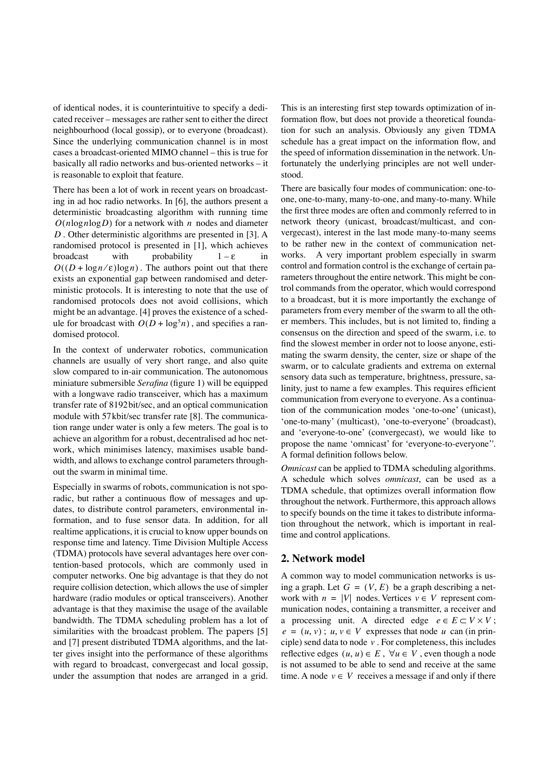of identical nodes, it is counterintuitive to specify a dedicated receiver – messages are rather sent to either the direct neighbourhood (local gossip), or to everyone (broadcast). Since the underlying communication channel is in most cases a broadcast-oriented MIMO channel – this is true for basically all radio networks and bus-oriented networks – it is reasonable to exploit that feature.

There has been a lot of work in recent years on broadcasting in ad hoc radio networks. In [6], the authors present a deterministic broadcasting algorithm with running time  $O(n \log n \log D)$  for a network with n nodes and diameter . Other deterministic algorithms are presented in [3]. A *D* randomised protocol is presented in [1], which achieves broadcast with probability  $1 - \varepsilon$  in  $O((D + \log n/\epsilon) \log n)$ . The authors point out that there exists an exponential gap between randomised and deterministic protocols. It is interesting to note that the use of randomised protocols does not avoid collisions, which might be an advantage. [4] proves the existence of a schedule for broadcast with  $O(D + \log^5 n)$ , and specifies a randomised protocol.  $1 - \varepsilon$ 

In the context of underwater robotics, communication channels are usually of very short range, and also quite slow compared to in-air communication. The autonomous miniature submersible *Serafina* (figure 1) will be equipped with a longwave radio transceiver, which has a maximum transfer rate of 8192bit/sec, and an optical communication module with 57kbit/sec transfer rate [8]. The communication range under water is only a few meters. The goal is to achieve an algorithm for a robust, decentralised ad hoc network, which minimises latency, maximises usable bandwidth, and allows to exchange control parameters throughout the swarm in minimal time.

Especially in swarms of robots, communication is not sporadic, but rather a continuous flow of messages and updates, to distribute control parameters, environmental information, and to fuse sensor data. In addition, for all realtime applications, it is crucial to know upper bounds on response time and latency. Time Division Multiple Access (TDMA) protocols have several advantages here over contention-based protocols, which are commonly used in computer networks. One big advantage is that they do not require collision detection, which allows the use of simpler hardware (radio modules or optical transceivers). Another advantage is that they maximise the usage of the available bandwidth. The TDMA scheduling problem has a lot of similarities with the broadcast problem. The papers [5] and [7] present distributed TDMA algorithms, and the latter gives insight into the performance of these algorithms with regard to broadcast, convergecast and local gossip, under the assumption that nodes are arranged in a grid.

This is an interesting first step towards optimization of information flow, but does not provide a theoretical foundation for such an analysis. Obviously any given TDMA schedule has a great impact on the information flow, and the speed of information dissemination in the network. Unfortunately the underlying principles are not well understood.

There are basically four modes of communication: one-toone, one-to-many, many-to-one, and many-to-many. While the first three modes are often and commonly referred to in network theory (unicast, broadcast/multicast, and convergecast), interest in the last mode many-to-many seems to be rather new in the context of communication networks. A very important problem especially in swarm control and formation control is the exchange of certain parameters throughout the entire network. This might be control commands from the operator, which would correspond to a broadcast, but it is more importantly the exchange of parameters from every member of the swarm to all the other members. This includes, but is not limited to, finding a consensus on the direction and speed of the swarm, i.e. to find the slowest member in order not to loose anyone, estimating the swarm density, the center, size or shape of the swarm, or to calculate gradients and extrema on external sensory data such as temperature, brightness, pressure, salinity, just to name a few examples. This requires efficient communication from everyone to everyone. As a continuation of the communication modes 'one-to-one' (unicast), 'one-to-many' (multicast), 'one-to-everyone' (broadcast), and 'everyone-to-one' (convergecast), we would like to propose the name 'omnicast' for 'everyone-to-everyone''. A formal definition follows below.

*Omnicast* can be applied to TDMA scheduling algorithms. A schedule which solves *omnicast*, can be used as a TDMA schedule, that optimizes overall information flow throughout the network. Furthermore, this approach allows to specify bounds on the time it takes to distribute information throughout the network, which is important in realtime and control applications.

## **2. Network model**

A common way to model communication networks is using a graph. Let  $G = (V, E)$  be a graph describing a network with  $n = |V|$  nodes. Vertices  $v \in V$  represent communication nodes, containing a transmitter, a receiver and a processing unit. A directed edge  $e \in E \subset V \times V$ ;  $e = (u, v)$ ;  $u, v \in V$  expresses that node u can (in principle) send data to node  $\nu$ . For completeness, this includes reflective edges  $(u, u) \in E$ ,  $\forall u \in V$ , even though a node is not assumed to be able to send and receive at the same time. A node  $v \in V$  receives a message if and only if there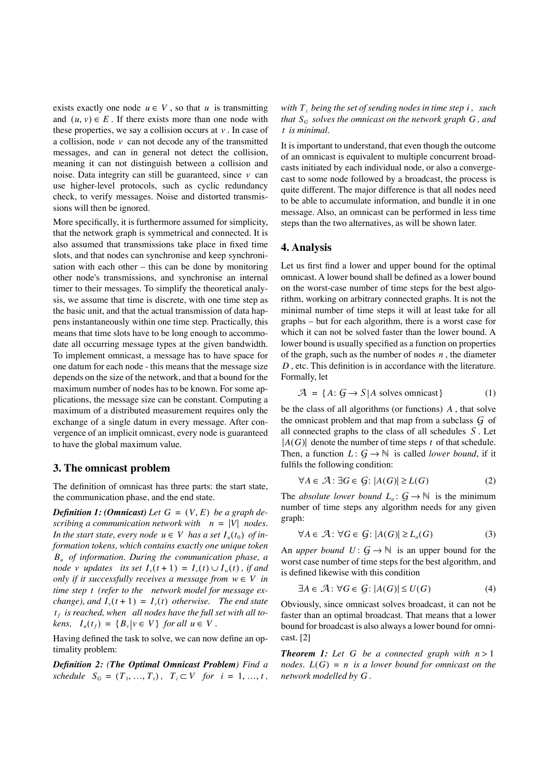exists exactly one node  $u \in V$ , so that  $u$  is transmitting and  $(u, v) \in E$ . If there exists more than one node with these properties, we say a collision occurs at  $v$ . In case of a collision, node v can not decode any of the transmitted messages, and can in general not detect the collision, meaning it can not distinguish between a collision and noise. Data integrity can still be guaranteed, since v can use higher-level protocols, such as cyclic redundancy check, to verify messages. Noise and distorted transmissions will then be ignored.

More specifically, it is furthermore assumed for simplicity, that the network graph is symmetrical and connected. It is also assumed that transmissions take place in fixed time slots, and that nodes can synchronise and keep synchronisation with each other – this can be done by monitoring other node's transmissions, and synchronise an internal timer to their messages. To simplify the theoretical analysis, we assume that time is discrete, with one time step as the basic unit, and that the actual transmission of data happens instantaneously within one time step. Practically, this means that time slots have to be long enough to accommodate all occurring message types at the given bandwidth. To implement omnicast, a message has to have space for one datum for each node - this means that the message size depends on the size of the network, and that a bound for the maximum number of nodes has to be known. For some applications, the message size can be constant. Computing a maximum of a distributed measurement requires only the exchange of a single datum in every message. After convergence of an implicit omnicast, every node is guaranteed to have the global maximum value.

#### **3. The omnicast problem**

The definition of omnicast has three parts: the start state, the communication phase, and the end state.

**Definition 1: (Omnicast)** Let  $G = (V, E)$  be a graph de*scribing a communication network with*  $n = |V|$  *nodes. In the start state, every node*  $u \in V$  *has a set*  $I_u(t_0)$  *of information tokens, which contains exactly one unique token of information. During the communication phase, a Bu node v updates its set*  $I_v(t+1) = I_v(t) \cup I_w(t)$ , *if and only if it successfully receives a message from*  $w \in V$  *in* time step t (refer to the network model for message ex*change*), and  $I_v(t+1) = I_v(t)$  otherwise. The end state  $t_f$  is reached, when  $\,$  all nodes have the full set with all to $kens, I_u(t_f) = {B_v | v \in V}$  *for all*  $u \in V$ *.* 

Having defined the task to solve, we can now define an optimality problem:

*Definition 2: (The Optimal Omnicast Problem) Find a schedule*  $S_G = (T_1, ..., T_t), T_i \subset V$  *for*  $i = 1, ..., t$ ,

with  $T_{i}$  being the set of sending nodes in time step  $i$  ,  $\,$  such that  $S_G$  *solves the omnicast on the network graph*  $G$  *, and is minimal. t*

It is important to understand, that even though the outcome of an omnicast is equivalent to multiple concurrent broadcasts initiated by each individual node, or also a convergecast to some node followed by a broadcast, the process is quite different. The major difference is that all nodes need to be able to accumulate information, and bundle it in one message. Also, an omnicast can be performed in less time steps than the two alternatives, as will be shown later.

#### **4. Analysis**

Let us first find a lower and upper bound for the optimal omnicast. A lower bound shall be defined as a lower bound on the worst-case number of time steps for the best algorithm, working on arbitrary connected graphs. It is not the minimal number of time steps it will at least take for all graphs – but for each algorithm, there is a worst case for which it can not be solved faster than the lower bound. A lower bound is usually specified as a function on properties of the graph, such as the number of nodes  $n$ , the diameter , etc. This definition is in accordance with the literature. *D* Formally, let

$$
\mathcal{A} = \{ A : \mathcal{G} \to S | A \text{ solves omnicast} \}
$$
 (1)

be the class of all algorithms (or functions) A, that solve the omnicast problem and that map from a subclass  $G$  of all connected graphs to the class of all schedules  $S$ . Let  $A(G)$  denote the number of time steps t of that schedule. Then, a function  $L: \mathcal{G} \to \mathbb{N}$  is called *lower bound*, if it fulfils the following condition:

$$
\forall A \in \mathcal{A} \colon \exists G \in \mathcal{G} \colon |A(G)| \ge L(G) \tag{2}
$$

The *absolute lower bound*  $L_a: \mathcal{G} \to \mathbb{N}$  is the minimum number of time steps any algorithm needs for any given graph:

$$
\forall A \in \mathcal{A} \colon \forall G \in \mathcal{G} \colon |A(G)| \ge L_a(G) \tag{3}
$$

An *upper bound*  $U: \mathcal{G} \to \mathbb{N}$  is an upper bound for the worst case number of time steps for the best algorithm, and is defined likewise with this condition

$$
\exists A \in \mathcal{A} \colon \forall G \in \mathcal{G} \colon |A(G)| \le U(G) \tag{4}
$$

Obviously, since omnicast solves broadcast, it can not be faster than an optimal broadcast. That means that a lower bound for broadcast is also always a lower bound for omnicast. [2]

**Theorem 1:** Let G be a connected graph with  $n > 1$ *nodes.*  $L(G) = n$  is a lower bound for omnicast on the *network modelled by . G*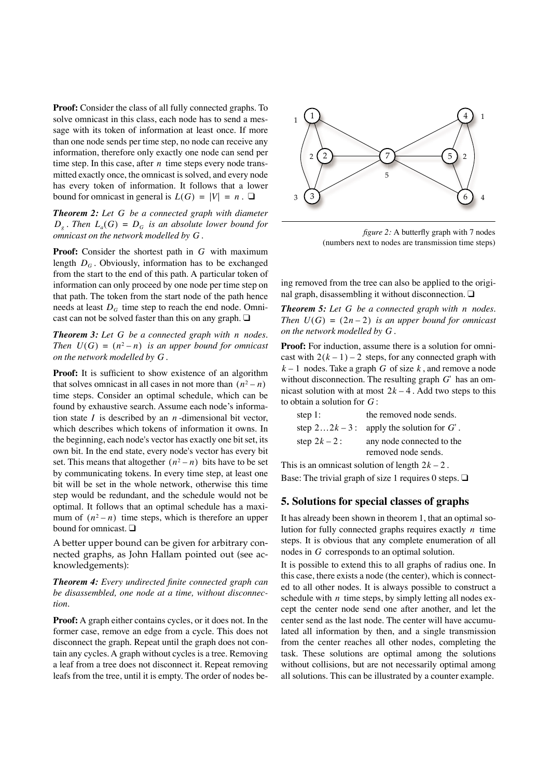**Proof:** Consider the class of all fully connected graphs. To solve omnicast in this class, each node has to send a message with its token of information at least once. If more than one node sends per time step, no node can receive any information, therefore only exactly one node can send per time step. In this case, after  $n$  time steps every node transmitted exactly once, the omnicast is solved, and every node has every token of information. It follows that a lower bound for omnicast in general is  $L(G) = |V| = n$ .  $\square$ 

*Theorem 2: Let G be a connected graph with diameter*  $D_g$ . Then  $L_a(G) = D_G$  is an absolute lower bound for *omnicast on the network modelled by . G*

**Proof:** Consider the shortest path in G with maximum length  $D_G$ . Obviously, information has to be exchanged from the start to the end of this path. A particular token of information can only proceed by one node per time step on that path. The token from the start node of the path hence needs at least  $D_G$  time step to reach the end node. Omnicast can not be solved faster than this on any graph. ❑

*Theorem 3: Let G be a connected graph with n nodes. Then*  $U(G) = (n^2 - n)$  *is an upper bound for omnicast on the network modelled by . G*

Proof: It is sufficient to show existence of an algorithm that solves omnicast in all cases in not more than  $(n^2 - n)$ time steps. Consider an optimal schedule, which can be found by exhaustive search. Assume each node's information state  $I$  is described by an  $n$ -dimensional bit vector, which describes which tokens of information it owns. In the beginning, each node's vector has exactly one bit set, its own bit. In the end state, every node's vector has every bit set. This means that altogether  $(n^2 - n)$  bits have to be set by communicating tokens. In every time step, at least one bit will be set in the whole network, otherwise this time step would be redundant, and the schedule would not be optimal. It follows that an optimal schedule has a maximum of  $(n^2 - n)$  time steps, which is therefore an upper bound for omnicast. ❑

A better upper bound can be given for arbitrary connected graphs, as John Hallam pointed out (see acknowledgements):

*Theorem 4: Every undirected finite connected graph can be disassembled, one node at a time, without disconnection.*

**Proof:** A graph either contains cycles, or it does not. In the former case, remove an edge from a cycle. This does not disconnect the graph. Repeat until the graph does not contain any cycles. A graph without cycles is a tree. Removing a leaf from a tree does not disconnect it. Repeat removing leafs from the tree, until it is empty. The order of nodes be-



*figure 2:* A butterfly graph with 7 nodes (numbers next to nodes are transmission time steps)

ing removed from the tree can also be applied to the original graph, disassembling it without disconnection. ❑

**Theorem 5:** Let G be a connected graph with n nodes. *Then*  $U(G) = (2n-2)$  *is an upper bound for omnicast on the network modelled by* G.

**Proof:** For induction, assume there is a solution for omnicast with  $2(k - 1) - 2$  steps, for any connected graph with  $k-1$  nodes. Take a graph G of size  $k$ , and remove a node without disconnection. The resulting graph  $G'$  has an omnicast solution with at most  $2k - 4$ . Add two steps to this to obtain a solution for  $G$  :

| step $1$ :    | the removed node sends.                   |
|---------------|-------------------------------------------|
|               | step $22k-3$ : apply the solution for G'. |
| step $2k-2$ : | any node connected to the                 |
|               | removed node sends.                       |

This is an omnicast solution of length  $2k - 2$ . Base: The trivial graph of size 1 requires 0 steps.  $\Box$ 

# **5. Solutions for special classes of graphs**

It has already been shown in theorem 1, that an optimal solution for fully connected graphs requires exactly *n* time steps. It is obvious that any complete enumeration of all nodes in  $G$  corresponds to an optimal solution.

It is possible to extend this to all graphs of radius one. In this case, there exists a node (the center), which is connected to all other nodes. It is always possible to construct a schedule with  $n$  time steps, by simply letting all nodes except the center node send one after another, and let the center send as the last node. The center will have accumulated all information by then, and a single transmission from the center reaches all other nodes, completing the task. These solutions are optimal among the solutions without collisions, but are not necessarily optimal among all solutions. This can be illustrated by a counter example.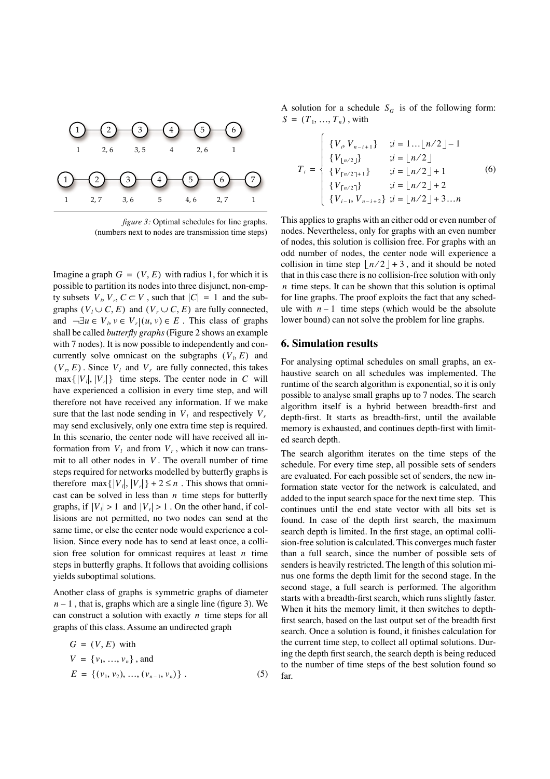

*figure 3:* Optimal schedules for line graphs. (numbers next to nodes are transmission time steps)

Imagine a graph  $G = (V, E)$  with radius 1, for which it is possible to partition its nodes into three disjunct, non-empty subsets  $V_i$ ,  $V_r$ ,  $C \subset V$ , such that  $|C| = 1$  and the subgraphs  $(V_l \cup C, E)$  and  $(V_r \cup C, E)$  are fully connected, and  $\neg \exists u \in V_i, v \in V_r | (u, v) \in E$ . This class of graphs shall be called *butterfly graphs* (Figure 2 shows an example with 7 nodes). It is now possible to independently and concurrently solve omnicast on the subgraphs  $(V_i, E)$  and  $(V_r, E)$ . Since  $V_l$  and  $V_r$  are fully connected, this takes  $\max\{|V_i|, |V_r|\}$  time steps. The center node in C will have experienced a collision in every time step, and will therefore not have received any information. If we make sure that the last node sending in  $V_l$  and respectively  $V_r$ may send exclusively, only one extra time step is required. In this scenario, the center node will have received all information from  $V_l$  and from  $V_r$ , which it now can transmit to all other nodes in  $V$ . The overall number of time steps required for networks modelled by butterfly graphs is therefore  $\max\{|V_i|, |V_r|\}$  + 2 ≤ *n*. This shows that omnicast can be solved in less than *n* time steps for butterfly graphs, if  $|V_i| > 1$  and  $|V_i| > 1$ . On the other hand, if collisions are not permitted, no two nodes can send at the same time, or else the center node would experience a collision. Since every node has to send at least once, a collision free solution for omnicast requires at least  $n$  time steps in butterfly graphs. It follows that avoiding collisions yields suboptimal solutions.

Another class of graphs is symmetric graphs of diameter  $n-1$ , that is, graphs which are a single line (figure 3). We can construct a solution with exactly  $n$  time steps for all graphs of this class. Assume an undirected graph

$$
G = (V, E) \text{ with}
$$
  
\n
$$
V = \{v_1, ..., v_n\}, \text{ and}
$$
  
\n
$$
E = \{(v_1, v_2), ..., (v_{n-1}, v_n)\}.
$$
 (5)

A solution for a schedule  $S_G$  is of the following form:  $S = (T_1, ..., T_n)$ , with

$$
T_{i} = \begin{cases} \{V_{i}, V_{n-i+1}\} & ; i = 1... \lfloor n/2 \rfloor - 1 \\ \{V_{\lfloor n/2 \rfloor}\} & ; i = \lfloor n/2 \rfloor \\ \{V_{\lceil n/2 \rceil + 1}\} & ; i = \lfloor n/2 \rfloor + 1 \\ \{V_{\lceil n/2 \rceil}\} & ; i = \lfloor n/2 \rfloor + 2 \\ \{V_{i-1}, V_{n-i+2}\} & ; i = \lfloor n/2 \rfloor + 3...n \end{cases} (6)
$$

This applies to graphs with an either odd or even number of nodes. Nevertheless, only for graphs with an even number of nodes, this solution is collision free. For graphs with an odd number of nodes, the center node will experience a collision in time step  $\lfloor n/2 \rfloor + 3$ , and it should be noted that in this case there is no collision-free solution with only *n* time steps. It can be shown that this solution is optimal for line graphs. The proof exploits the fact that any schedule with  $n-1$  time steps (which would be the absolute lower bound) can not solve the problem for line graphs.

#### **6. Simulation results**

For analysing optimal schedules on small graphs, an exhaustive search on all schedules was implemented. The runtime of the search algorithm is exponential, so it is only possible to analyse small graphs up to 7 nodes. The search algorithm itself is a hybrid between breadth-first and depth-first. It starts as breadth-first, until the available memory is exhausted, and continues depth-first with limited search depth.

The search algorithm iterates on the time steps of the schedule. For every time step, all possible sets of senders are evaluated. For each possible set of senders, the new information state vector for the network is calculated, and added to the input search space for the next time step. This continues until the end state vector with all bits set is found. In case of the depth first search, the maximum search depth is limited. In the first stage, an optimal collision-free solution is calculated. This converges much faster than a full search, since the number of possible sets of senders is heavily restricted. The length of this solution minus one forms the depth limit for the second stage. In the second stage, a full search is performed. The algorithm starts with a breadth-first search, which runs slightly faster. When it hits the memory limit, it then switches to depthfirst search, based on the last output set of the breadth first search. Once a solution is found, it finishes calculation for the current time step, to collect all optimal solutions. During the depth first search, the search depth is being reduced to the number of time steps of the best solution found so far.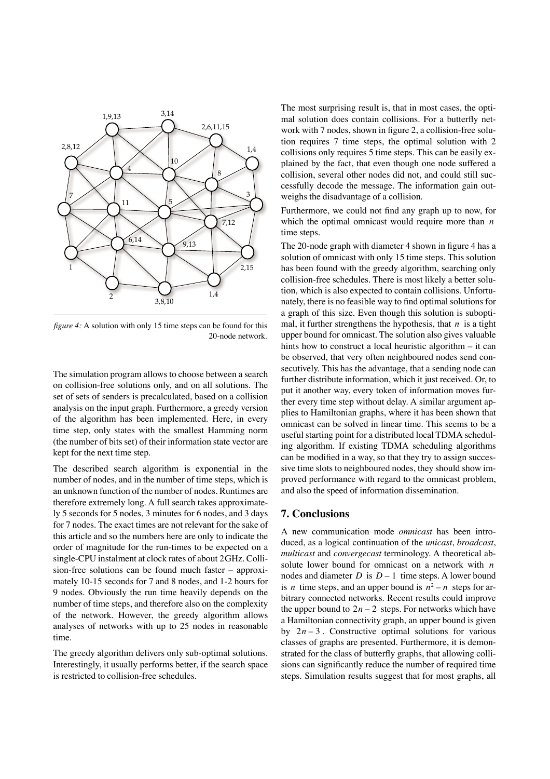

*figure 4:* A solution with only 15 time steps can be found for this 20-node network.

The simulation program allows to choose between a search on collision-free solutions only, and on all solutions. The set of sets of senders is precalculated, based on a collision analysis on the input graph. Furthermore, a greedy version of the algorithm has been implemented. Here, in every time step, only states with the smallest Hamming norm (the number of bits set) of their information state vector are kept for the next time step.

The described search algorithm is exponential in the number of nodes, and in the number of time steps, which is an unknown function of the number of nodes. Runtimes are therefore extremely long. A full search takes approximately 5 seconds for 5 nodes, 3 minutes for 6 nodes, and 3 days for 7 nodes. The exact times are not relevant for the sake of this article and so the numbers here are only to indicate the order of magnitude for the run-times to be expected on a single-CPU instalment at clock rates of about 2GHz. Collision-free solutions can be found much faster – approximately 10-15 seconds for 7 and 8 nodes, and 1-2 hours for 9 nodes. Obviously the run time heavily depends on the number of time steps, and therefore also on the complexity of the network. However, the greedy algorithm allows analyses of networks with up to 25 nodes in reasonable time.

The greedy algorithm delivers only sub-optimal solutions. Interestingly, it usually performs better, if the search space is restricted to collision-free schedules.

The most surprising result is, that in most cases, the optimal solution does contain collisions. For a butterfly network with 7 nodes, shown in figure 2, a collision-free solution requires 7 time steps, the optimal solution with 2 collisions only requires 5 time steps. This can be easily explained by the fact, that even though one node suffered a collision, several other nodes did not, and could still successfully decode the message. The information gain outweighs the disadvantage of a collision.

Furthermore, we could not find any graph up to now, for which the optimal omnicast would require more than *n* time steps.

The 20-node graph with diameter 4 shown in figure 4 has a solution of omnicast with only 15 time steps. This solution has been found with the greedy algorithm, searching only collision-free schedules. There is most likely a better solution, which is also expected to contain collisions. Unfortunately, there is no feasible way to find optimal solutions for a graph of this size. Even though this solution is suboptimal, it further strengthens the hypothesis, that  $n$  is a tight upper bound for omnicast. The solution also gives valuable hints how to construct a local heuristic algorithm – it can be observed, that very often neighboured nodes send consecutively. This has the advantage, that a sending node can further distribute information, which it just received. Or, to put it another way, every token of information moves further every time step without delay. A similar argument applies to Hamiltonian graphs, where it has been shown that omnicast can be solved in linear time. This seems to be a useful starting point for a distributed local TDMA scheduling algorithm. If existing TDMA scheduling algorithms can be modified in a way, so that they try to assign successive time slots to neighboured nodes, they should show improved performance with regard to the omnicast problem, and also the speed of information dissemination.

#### **7. Conclusions**

A new communication mode *omnicast* has been introduced, as a logical continuation of the *unicast*, *broadcast*, *multicast* and *convergecast* terminology. A theoretical absolute lower bound for omnicast on a network with *n* nodes and diameter  $D$  is  $D-1$  time steps. A lower bound is *n* time steps, and an upper bound is  $n^2 - n$  steps for arbitrary connected networks. Recent results could improve the upper bound to  $2n - 2$  steps. For networks which have a Hamiltonian connectivity graph, an upper bound is given by  $2n-3$ . Constructive optimal solutions for various classes of graphs are presented. Furthermore, it is demonstrated for the class of butterfly graphs, that allowing collisions can significantly reduce the number of required time steps. Simulation results suggest that for most graphs, all